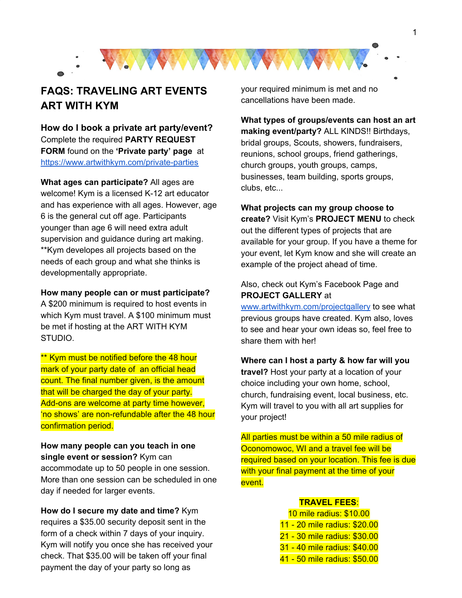

## **FAQS: TRAVELING ART EVENTS ART WITH KYM**

**How do I book a private art party/event?** Complete the required **PARTY REQUEST FORM** found on the **'Private party' page** at <https://www.artwithkym.com/private-parties>

**What ages can participate?** All ages are welcome! Kym is a licensed K-12 art educator and has experience with all ages. However, age 6 is the general cut off age. Participants younger than age 6 will need extra adult supervision and guidance during art making. \*\*Kym developes all projects based on the needs of each group and what she thinks is developmentally appropriate.

## **How many people can or must participate?**

A \$200 minimum is required to host events in which Kym must travel. A \$100 minimum must be met if hosting at the ART WITH KYM STUDIO.

\*\* Kym must be notified before the 48 hour mark of your party date of an official head count. The final number given, is the amount that will be charged the day of your party. Add-ons are welcome at party time however, 'no shows' are non-refundable after the 48 hour confirmation period.

**How many people can you teach in one single event or session?** Kym can accommodate up to 50 people in one session. More than one session can be scheduled in one day if needed for larger events.

**How do I secure my date and time?** Kym requires a \$35.00 security deposit sent in the form of a check within 7 days of your inquiry. Kym will notify you once she has received your check. That \$35.00 will be taken off your final payment the day of your party so long as

your required minimum is met and no cancellations have been made.

**What types of groups/events can host an art making event/party?** ALL KINDS!! Birthdays, bridal groups, Scouts, showers, fundraisers, reunions, school groups, friend gatherings, church groups, youth groups, camps, businesses, team building, sports groups, clubs, etc...

**What projects can my group choose to create?** Visit Kym's **PROJECT MENU** to check out the different types of projects that are available for your group. If you have a theme for your event, let Kym know and she will create an example of the project ahead of time.

## Also, check out Kym's Facebook Page and **PROJECT GALLERY** at

[www.artwithkym.com/projectgallery](http://www.artwithkym.com/projectgallery) to see what previous groups have created. Kym also, loves to see and hear your own ideas so, feel free to share them with her!

**Where can I host a party & how far will you travel?** Host your party at a location of your choice including your own home, school, church, fundraising event, local business, etc. Kym will travel to you with all art supplies for your project!

All parties must be within a 50 mile radius of Oconomowoc, WI and a travel fee will be required based on your location. This fee is due with your final payment at the time of your event.

## **TRAVEL FEES**:

 mile radius: \$10.00 - 20 mile radius: \$20.00 - 30 mile radius: \$30.00 - 40 mile radius: \$40.00 - 50 mile radius: \$50.00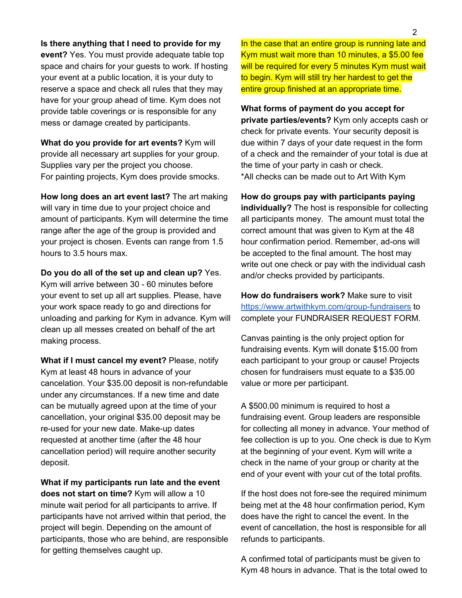**Is there anything that I need to provide for my event?** Yes. You must provide adequate table top space and chairs for your guests to work. If hosting your event at a public location, it is your duty to reserve a space and check all rules that they may have for your group ahead of time. Kym does not provide table coverings or is responsible for any mess or damage created by participants.

**What do you provide for art events?** Kym will provide all necessary art supplies for your group. Supplies vary per the project you choose. For painting projects, Kym does provide smocks.

**How long does an art event last?** The art making will vary in time due to your project choice and amount of participants. Kym will determine the time range after the age of the group is provided and your project is chosen. Events can range from 1.5 hours to 3.5 hours max.

**Do you do all of the set up and clean up?** Yes. Kym will arrive between 30 - 60 minutes before your event to set up all art supplies. Please, have your work space ready to go and directions for unloading and parking for Kym in advance. Kym will clean up all messes created on behalf of the art making process.

**What if I must cancel my event?** Please, notify Kym at least 48 hours in advance of your cancelation. Your \$35.00 deposit is non-refundable under any circumstances. If a new time and date can be mutually agreed upon at the time of your cancellation, your original \$35.00 deposit may be re-used for your new date. Make-up dates requested at another time (after the 48 hour cancellation period) will require another security deposit.

**What if my participants run late and the event does not start on time?** Kym will allow a 10 minute wait period for all participants to arrive. If participants have not arrived within that period, the project will begin. Depending on the amount of participants, those who are behind, are responsible for getting themselves caught up.

In the case that an entire group is running late and Kym must wait more than 10 minutes, a \$5.00 fee will be required for every 5 minutes Kym must wait to begin. Kym will still try her hardest to get the entire group finished at an appropriate time.

**What forms of payment do you accept for private parties/events?** Kym only accepts cash or check for private events. Your security deposit is due within 7 days of your date request in the form of a check and the remainder of your total is due at the time of your party in cash or check. \*All checks can be made out to Art With Kym

**How do groups pay with participants paying individually?** The host is responsible for collecting all participants money. The amount must total the correct amount that was given to Kym at the 48 hour confirmation period. Remember, ad-ons will be accepted to the final amount. The host may write out one check or pay with the individual cash and/or checks provided by participants.

**How do fundraisers work?** Make sure to visit <https://www.artwithkym.com/group-fundraisers> to complete your FUNDRAISER REQUEST FORM.

Canvas painting is the only project option for fundraising events. Kym will donate \$15.00 from each participant to your group or cause! Projects chosen for fundraisers must equate to a \$35.00 value or more per participant.

A \$500.00 minimum is required to host a fundraising event. Group leaders are responsible for collecting all money in advance. Your method of fee collection is up to you. One check is due to Kym at the beginning of your event. Kym will write a check in the name of your group or charity at the end of your event with your cut of the total profits.

If the host does not fore-see the required minimum being met at the 48 hour confirmation period, Kym does have the right to cancel the event. In the event of cancellation, the host is responsible for all refunds to participants.

A confirmed total of participants must be given to Kym 48 hours in advance. That is the total owed to